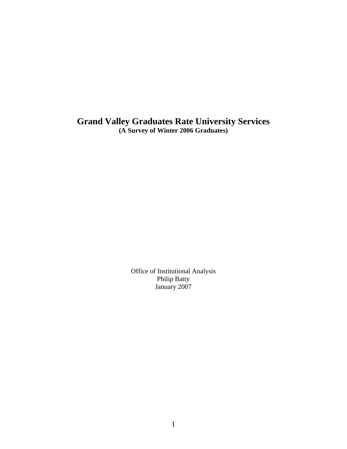**Grand Valley Graduates Rate University Services (A Survey of Winter 2006 Graduates)** 

> Office of Institutional Analysis Philip Batty January 2007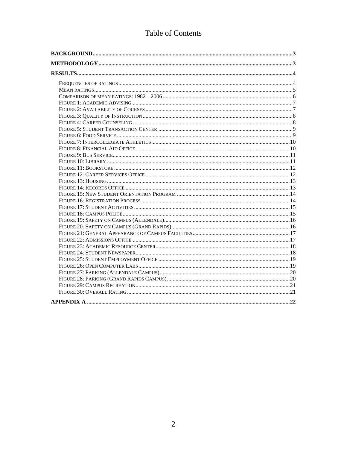# Table of Contents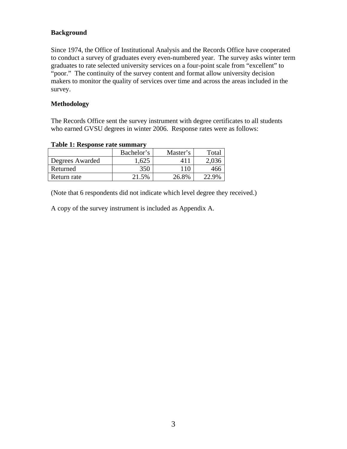## **Background**

Since 1974, the Office of Institutional Analysis and the Records Office have cooperated to conduct a survey of graduates every even-numbered year. The survey asks winter term graduates to rate selected university services on a four-point scale from "excellent" to "poor." The continuity of the survey content and format allow university decision makers to monitor the quality of services over time and across the areas included in the survey.

#### **Methodology**

The Records Office sent the survey instrument with degree certificates to all students who earned GVSU degrees in winter 2006. Response rates were as follows:

| A WAJAU 'A'U 'A'UU MU'U A'UUU U WAAAAAAHU A |            |          |                                  |  |  |
|---------------------------------------------|------------|----------|----------------------------------|--|--|
|                                             | Bachelor's | Master's | Total                            |  |  |
| Degrees Awarded                             | .625       |          |                                  |  |  |
| Returned                                    | 350        |          | 466                              |  |  |
| Return rate                                 | 21.5%      | 26.8%    | $\gamma$ Q <sub>0</sub> $\alpha$ |  |  |

**Table 1: Response rate summary** 

(Note that 6 respondents did not indicate which level degree they received.)

A copy of the survey instrument is included as Appendix A.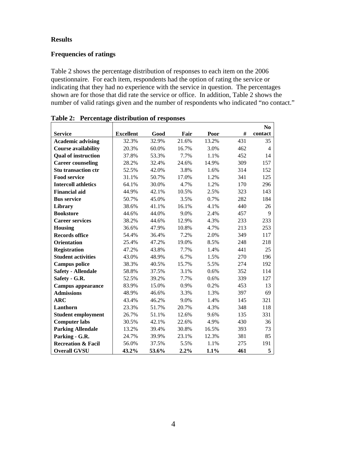#### **Results**

## **Frequencies of ratings**

Table 2 shows the percentage distribution of responses to each item on the 2006 questionnaire. For each item, respondents had the option of rating the service or indicating that they had no experience with the service in question. The percentages shown are for those that did rate the service or office. In addition, Table 2 shows the number of valid ratings given and the number of respondents who indicated "no contact."

|                               |                  |       |       |       |     | N <sub>0</sub> |
|-------------------------------|------------------|-------|-------|-------|-----|----------------|
| <b>Service</b>                | <b>Excellent</b> | Good  | Fair  | Poor  | #   | contact        |
| <b>Academic advising</b>      | 32.3%            | 32.9% | 21.6% | 13.2% | 431 | 35             |
| <b>Course availability</b>    | 20.3%            | 60.0% | 16.7% | 3.0%  | 462 | $\overline{4}$ |
| <b>Qual of instruction</b>    | 37.8%            | 53.3% | 7.7%  | 1.1%  | 452 | 14             |
| <b>Career counseling</b>      | 28.2%            | 32.4% | 24.6% | 14.9% | 309 | 157            |
| <b>Stu transaction ctr</b>    | 52.5%            | 42.0% | 3.8%  | 1.6%  | 314 | 152            |
| <b>Food service</b>           | 31.1%            | 50.7% | 17.0% | 1.2%  | 341 | 125            |
| <b>Intercoll athletics</b>    | 64.1%            | 30.0% | 4.7%  | 1.2%  | 170 | 296            |
| <b>Financial aid</b>          | 44.9%            | 42.1% | 10.5% | 2.5%  | 323 | 143            |
| <b>Bus service</b>            | 50.7%            | 45.0% | 3.5%  | 0.7%  | 282 | 184            |
| Library                       | 38.6%            | 41.1% | 16.1% | 4.1%  | 440 | 26             |
| <b>Bookstore</b>              | 44.6%            | 44.0% | 9.0%  | 2.4%  | 457 | 9              |
| <b>Career services</b>        | 38.2%            | 44.6% | 12.9% | 4.3%  | 233 | 233            |
| <b>Housing</b>                | 36.6%            | 47.9% | 10.8% | 4.7%  | 213 | 253            |
| <b>Records office</b>         | 54.4%            | 36.4% | 7.2%  | 2.0%  | 349 | 117            |
| <b>Orientation</b>            | 25.4%            | 47.2% | 19.0% | 8.5%  | 248 | 218            |
| <b>Registration</b>           | 47.2%            | 43.8% | 7.7%  | 1.4%  | 441 | 25             |
| <b>Student activities</b>     | 43.0%            | 48.9% | 6.7%  | 1.5%  | 270 | 196            |
| <b>Campus police</b>          | 38.3%            | 40.5% | 15.7% | 5.5%  | 274 | 192            |
| <b>Safety - Allendale</b>     | 58.8%            | 37.5% | 3.1%  | 0.6%  | 352 | 114            |
| Safety - G.R.                 | 52.5%            | 39.2% | 7.7%  | 0.6%  | 339 | 127            |
| <b>Campus appearance</b>      | 83.9%            | 15.0% | 0.9%  | 0.2%  | 453 | 13             |
| <b>Admissions</b>             | 48.9%            | 46.6% | 3.3%  | 1.3%  | 397 | 69             |
| <b>ARC</b>                    | 43.4%            | 46.2% | 9.0%  | 1.4%  | 145 | 321            |
| Lanthorn                      | 23.3%            | 51.7% | 20.7% | 4.3%  | 348 | 118            |
| <b>Student employment</b>     | 26.7%            | 51.1% | 12.6% | 9.6%  | 135 | 331            |
| <b>Computer labs</b>          | 30.5%            | 42.1% | 22.6% | 4.9%  | 430 | 36             |
| <b>Parking Allendale</b>      | 13.2%            | 39.4% | 30.8% | 16.5% | 393 | 73             |
| Parking - G.R.                | 24.7%            | 39.9% | 23.1% | 12.3% | 381 | 85             |
| <b>Recreation &amp; Facil</b> | 56.0%            | 37.5% | 5.5%  | 1.1%  | 275 | 191            |
| <b>Overall GVSU</b>           | 43.2%            | 53.6% | 2.2%  | 1.1%  | 461 | 5              |

**Table 2: Percentage distribution of responses**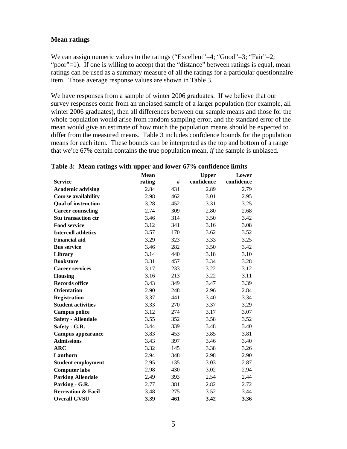#### **Mean ratings**

We can assign numeric values to the ratings ("Excellent"=4; "Good"=3; "Fair"=2; "poor"=1). If one is willing to accept that the "distance" between ratings is equal, mean ratings can be used as a summary measure of all the ratings for a particular questionnaire item. Those average response values are shown in Table 3.

We have responses from a sample of winter 2006 graduates. If we believe that our survey responses come from an unbiased sample of a larger population (for example, all winter 2006 graduates), then all differences between our sample means and those for the whole population would arise from random sampling error, and the standard error of the mean would give an estimate of how much the population means should be expected to differ from the measured means. Table 3 includes confidence bounds for the population means for each item. These bounds can be interpreted as the top and bottom of a range that we're 67% certain contains the true population mean, *if* the sample is unbiased.

|                               | <b>Mean</b> |     | <b>Upper</b> | Lower      |
|-------------------------------|-------------|-----|--------------|------------|
| <b>Service</b>                | rating      | #   | confidence   | confidence |
| <b>Academic advising</b>      | 2.84        | 431 | 2.89         | 2.79       |
| <b>Course availability</b>    | 2.98        | 462 | 3.01         | 2.95       |
| <b>Qual of instruction</b>    | 3.28        | 452 | 3.31         | 3.25       |
| <b>Career counseling</b>      | 2.74        | 309 | 2.80         | 2.68       |
| <b>Stu transaction ctr</b>    | 3.46        | 314 | 3.50         | 3.42       |
| <b>Food service</b>           | 3.12        | 341 | 3.16         | 3.08       |
| <b>Intercoll athletics</b>    | 3.57        | 170 | 3.62         | 3.52       |
| <b>Financial aid</b>          | 3.29        | 323 | 3.33         | 3.25       |
| <b>Bus service</b>            | 3.46        | 282 | 3.50         | 3.42       |
| Library                       | 3.14        | 440 | 3.18         | 3.10       |
| <b>Bookstore</b>              | 3.31        | 457 | 3.34         | 3.28       |
| <b>Career services</b>        | 3.17        | 233 | 3.22         | 3.12       |
| <b>Housing</b>                | 3.16        | 213 | 3.22         | 3.11       |
| <b>Records office</b>         | 3.43        | 349 | 3.47         | 3.39       |
| <b>Orientation</b>            | 2.90        | 248 | 2.96         | 2.84       |
| <b>Registration</b>           | 3.37        | 441 | 3.40         | 3.34       |
| <b>Student activities</b>     | 3.33        | 270 | 3.37         | 3.29       |
| <b>Campus police</b>          | 3.12        | 274 | 3.17         | 3.07       |
| <b>Safety - Allendale</b>     | 3.55        | 352 | 3.58         | 3.52       |
| Safety - G.R.                 | 3.44        | 339 | 3.48         | 3.40       |
| <b>Campus appearance</b>      | 3.83        | 453 | 3.85         | 3.81       |
| <b>Admissions</b>             | 3.43        | 397 | 3.46         | 3.40       |
| $\bf{ARC}$                    | 3.32        | 145 | 3.38         | 3.26       |
| Lanthorn                      | 2.94        | 348 | 2.98         | 2.90       |
| <b>Student employment</b>     | 2.95        | 135 | 3.03         | 2.87       |
| <b>Computer labs</b>          | 2.98        | 430 | 3.02         | 2.94       |
| <b>Parking Allendale</b>      | 2.49        | 393 | 2.54         | 2.44       |
| Parking - G.R.                | 2.77        | 381 | 2.82         | 2.72       |
| <b>Recreation &amp; Facil</b> | 3.48        | 275 | 3.52         | 3.44       |
| <b>Overall GVSU</b>           | 3.39        | 461 | 3.42         | 3.36       |

**Table 3: Mean ratings with upper and lower 67% confidence limits**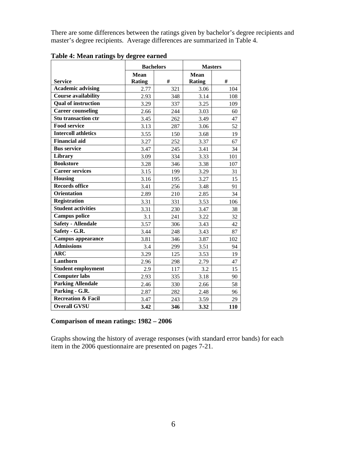There are some differences between the ratings given by bachelor's degree recipients and master's degree recipients. Average differences are summarized in Table 4.

|                               | <b>Bachelors</b>             |     | <b>Masters</b>               |     |
|-------------------------------|------------------------------|-----|------------------------------|-----|
| <b>Service</b>                | <b>Mean</b><br><b>Rating</b> | #   | <b>Mean</b><br><b>Rating</b> | #   |
| <b>Academic advising</b>      | 2.77                         | 321 | 3.06                         | 104 |
| <b>Course availability</b>    | 2.93                         | 348 | 3.14                         | 108 |
| <b>Qual of instruction</b>    | 3.29                         | 337 | 3.25                         | 109 |
| <b>Career counseling</b>      | 2.66                         | 244 | 3.03                         | 60  |
| <b>Stu transaction ctr</b>    | 3.45                         | 262 | 3.49                         | 47  |
| <b>Food service</b>           | 3.13                         | 287 | 3.06                         | 52  |
| <b>Intercoll athletics</b>    | 3.55                         | 150 | 3.68                         | 19  |
| <b>Financial aid</b>          | 3.27                         | 252 | 3.37                         | 67  |
| <b>Bus service</b>            | 3.47                         | 245 | 3.41                         | 34  |
| Library                       | 3.09                         | 334 | 3.33                         | 101 |
| <b>Bookstore</b>              | 3.28                         | 346 | 3.38                         | 107 |
| <b>Career services</b>        | 3.15                         | 199 | 3.29                         | 31  |
| <b>Housing</b>                | 3.16                         | 195 | 3.27                         | 15  |
| <b>Records office</b>         | 3.41                         | 256 | 3.48                         | 91  |
| <b>Orientation</b>            | 2.89                         | 210 | 2.85                         | 34  |
| <b>Registration</b>           | 3.31                         | 331 | 3.53                         | 106 |
| <b>Student activities</b>     | 3.31                         | 230 | 3.47                         | 38  |
| <b>Campus police</b>          | 3.1                          | 241 | 3.22                         | 32  |
| <b>Safety - Allendale</b>     | 3.57                         | 306 | 3.43                         | 42  |
| Safety - G.R.                 | 3.44                         | 248 | 3.43                         | 87  |
| <b>Campus appearance</b>      | 3.81                         | 346 | 3.87                         | 102 |
| <b>Admissions</b>             | 3.4                          | 299 | 3.51                         | 94  |
| <b>ARC</b>                    | 3.29                         | 125 | 3.53                         | 19  |
| Lanthorn                      | 2.96                         | 298 | 2.79                         | 47  |
| <b>Student employment</b>     | 2.9                          | 117 | 3.2                          | 15  |
| <b>Computer labs</b>          | 2.93                         | 335 | 3.18                         | 90  |
| <b>Parking Allendale</b>      | 2.46                         | 330 | 2.66                         | 58  |
| Parking - G.R.                | 2.87                         | 282 | 2.48                         | 96  |
| <b>Recreation &amp; Facil</b> | 3.47                         | 243 | 3.59                         | 29  |
| <b>Overall GVSU</b>           | 3.42                         | 346 | 3.32                         | 110 |

**Table 4: Mean ratings by degree earned** 

#### **Comparison of mean ratings: 1982 – 2006**

Graphs showing the history of average responses (with standard error bands) for each item in the 2006 questionnaire are presented on pages 7-21.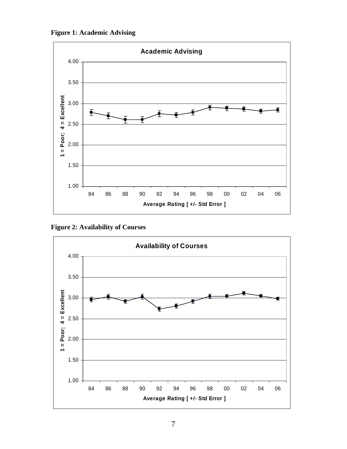**Figure 1: Academic Advising** 



**Figure 2: Availability of Courses** 

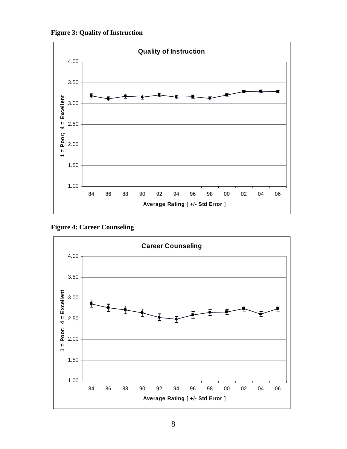



**Figure 4: Career Counseling** 

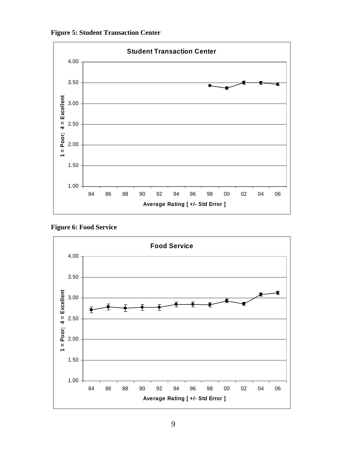**Figure 5: Student Transaction Center** 



**Figure 6: Food Service** 

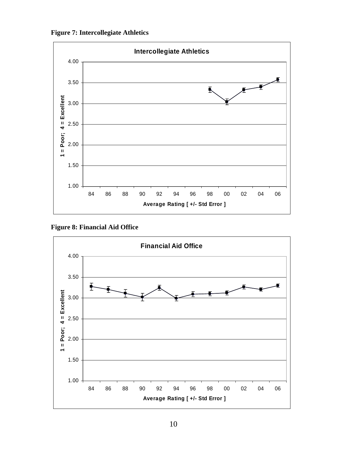**Figure 7: Intercollegiate Athletics** 



**Figure 8: Financial Aid Office** 

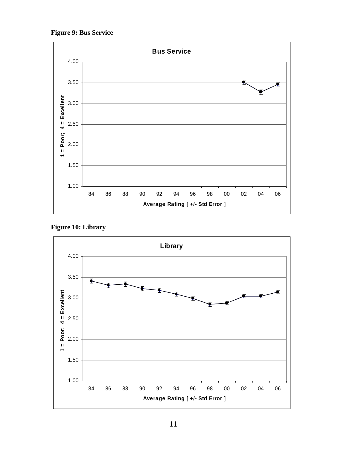**Figure 9: Bus Service** 



**Figure 10: Library** 

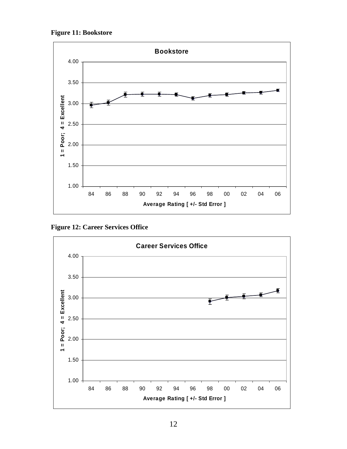**Figure 11: Bookstore** 



**Figure 12: Career Services Office** 

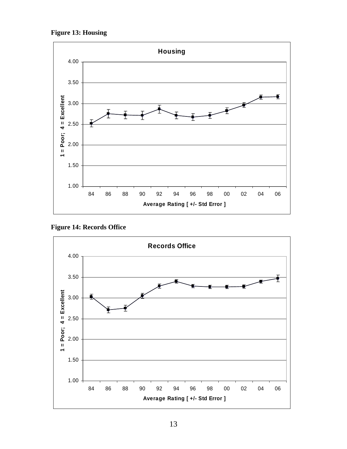**Figure 13: Housing** 



**Figure 14: Records Office** 

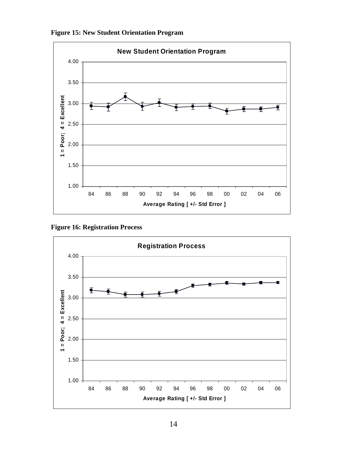



**Figure 16: Registration Process** 

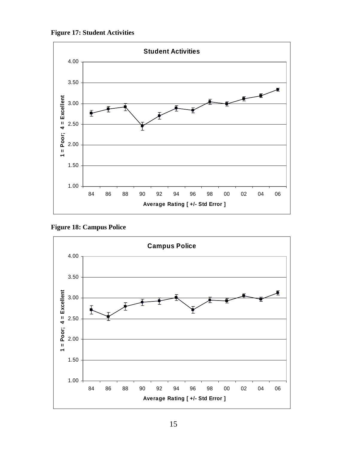



**Figure 18: Campus Police** 

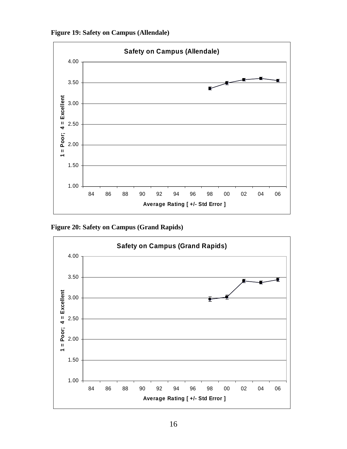**Figure 19: Safety on Campus (Allendale)** 



**Figure 20: Safety on Campus (Grand Rapids)** 

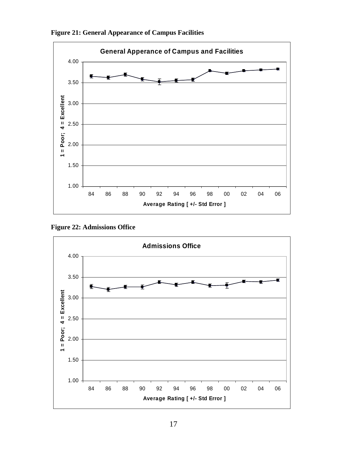



**Figure 22: Admissions Office** 

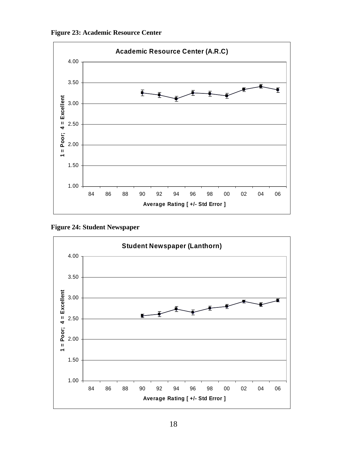



**Figure 24: Student Newspaper** 

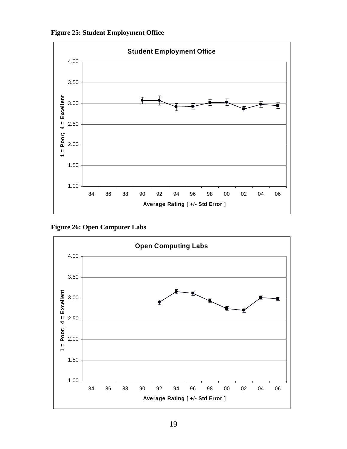



**Figure 26: Open Computer Labs** 

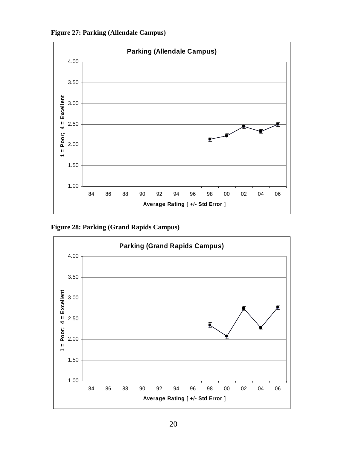**Figure 27: Parking (Allendale Campus)** 



**Figure 28: Parking (Grand Rapids Campus)** 

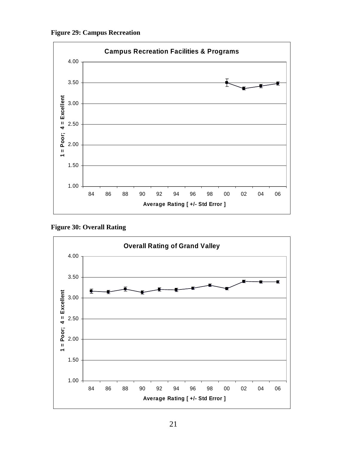**Figure 29: Campus Recreation** 



**Figure 30: Overall Rating** 

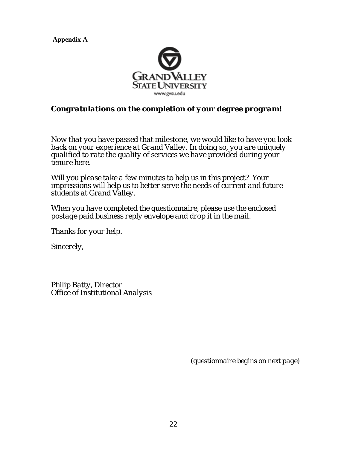**Appendix A** 



# *Congratulations on the completion of your degree program!*

*Now that you have passed that milestone, we would like to have you look back on your experience at Grand Valley. In doing so, you are uniquely qualified to rate the quality of services we have provided during your tenure here.* 

*Will you please take a few minutes to help us in this project? Your impressions will help us to better serve the needs of current and future students at Grand Valley.* 

*When you have completed the questionnaire, please use the enclosed postage paid business reply envelope and drop it in the mail.* 

*Thanks for your help.* 

*Sincerely,* 

*Philip Batty, Director Office of Institutional Analysis* 

 *(questionnaire begins on next page)*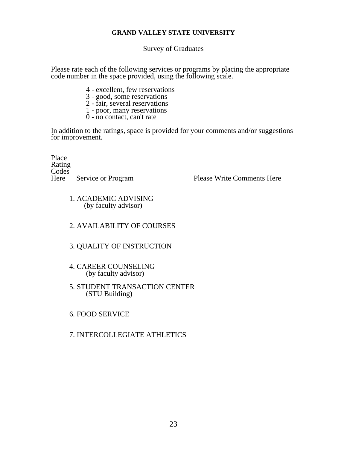## **GRAND VALLEY STATE UNIVERSITY**

Survey of Graduates

Please rate each of the following services or programs by placing the appropriate code number in the space provided, using the following scale.

- 4 excellent, few reservations
- 3 good, some reservations
- 2 fair, several reservations
- 1 poor, many reservations
- 0 no contact, can't rate

In addition to the ratings, space is provided for your comments and/or suggestions for improvement.

Place Rating Codes<sup>T</sup>

Service or Program Please Write Comments Here

 1. ACADEMIC ADVISING (by faculty advisor)

## 2. AVAILABILITY OF COURSES

## 3. QUALITY OF INSTRUCTION

- 4. CAREER COUNSELING (by faculty advisor)
- 5. STUDENT TRANSACTION CENTER (STU Building)
- 6. FOOD SERVICE

## 7. INTERCOLLEGIATE ATHLETICS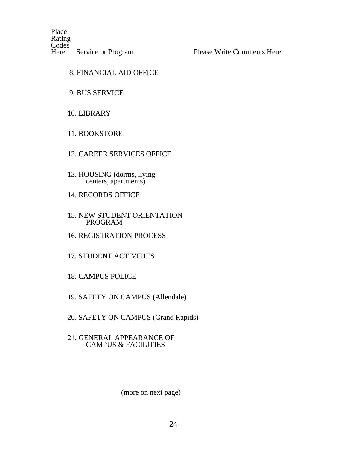Place Rating Codes<sup>N</sup>

Service or Program Please Write Comments Here

## 8. FINANCIAL AID OFFICE

## 9. BUS SERVICE

# 10. LIBRARY

## 11. BOOKSTORE

## 12. CAREER SERVICES OFFICE

- 13. HOUSING (dorms, living centers, apartments)
- 14. RECORDS OFFICE

#### 15. NEW STUDENT ORIENTATION PROGRAM

16. REGISTRATION PROCESS

# 17. STUDENT ACTIVITIES

- 18. CAMPUS POLICE
- 19. SAFETY ON CAMPUS (Allendale)
- 20. SAFETY ON CAMPUS (Grand Rapids)

#### 21. GENERAL APPEARANCE OF CAMPUS & FACILITIES

#### (more on next page)